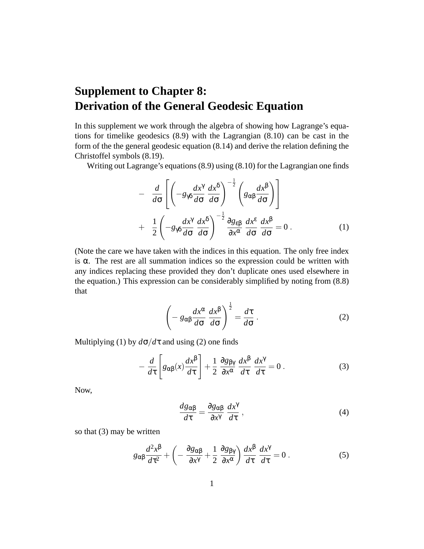## **Supplement to Chapter 8: Derivation of the General Geodesic Equation**

In this supplement we work through the algebra of showing how Lagrange's equations for timelike geodesics (8.9) with the Lagrangian (8.10) can be cast in the form of the the general geodesic equation (8.14) and derive the relation defining the Christoffel symbols (8.19).

Writing out Lagrange's equations (8.9) using (8.10) for the Lagrangian one finds

$$
- \frac{d}{d\sigma} \left[ \left( -g_{\gamma\delta} \frac{dx^{\gamma}}{d\sigma} \frac{dx^{\delta}}{d\sigma} \right)^{-\frac{1}{2}} \left( g_{\alpha\beta} \frac{dx^{\beta}}{d\sigma} \right) \right] + \frac{1}{2} \left( -g_{\gamma\delta} \frac{dx^{\gamma}}{d\sigma} \frac{dx^{\delta}}{d\sigma} \right)^{-\frac{1}{2}} \frac{\partial g_{\epsilon\beta}}{\partial x^{\alpha}} \frac{dx^{\epsilon}}{d\sigma} \frac{dx^{\beta}}{d\sigma} = 0.
$$
 (1)

(Note the care we have taken with the indices in this equation. The only free index is  $\alpha$ . The rest are all summation indices so the expression could be written with any indices replacing these provided they don't duplicate ones used elsewhere in the equation.) This expression can be considerably simplified by noting from (8.8) that

$$
\left(-g_{\alpha\beta}\frac{dx^{\alpha}}{d\sigma}\frac{dx^{\beta}}{d\sigma}\right)^{\frac{1}{2}} = \frac{d\tau}{d\sigma}.
$$
 (2)

Multiplying (1) by  $d\sigma/d\tau$  and using (2) one finds

$$
-\frac{d}{d\tau}\left[g_{\alpha\beta}(x)\frac{dx^{\beta}}{d\tau}\right] + \frac{1}{2}\frac{\partial g_{\beta\gamma}}{\partial x^{\alpha}}\frac{dx^{\beta}}{d\tau}\frac{dx^{\gamma}}{d\tau} = 0.
$$
 (3)

Now,

$$
\frac{d g_{\alpha\beta}}{d\tau} = \frac{\partial g_{\alpha\beta}}{\partial x^{\gamma}} \frac{dx^{\gamma}}{d\tau},
$$
\n(4)

so that (3) may be written

$$
g_{\alpha\beta}\frac{d^2x^{\beta}}{d\tau^2} + \left(-\frac{\partial g_{\alpha\beta}}{\partial x^{\gamma}} + \frac{1}{2}\frac{\partial g_{\beta\gamma}}{\partial x^{\alpha}}\right)\frac{dx^{\beta}}{d\tau}\frac{dx^{\gamma}}{d\tau} = 0.
$$
 (5)